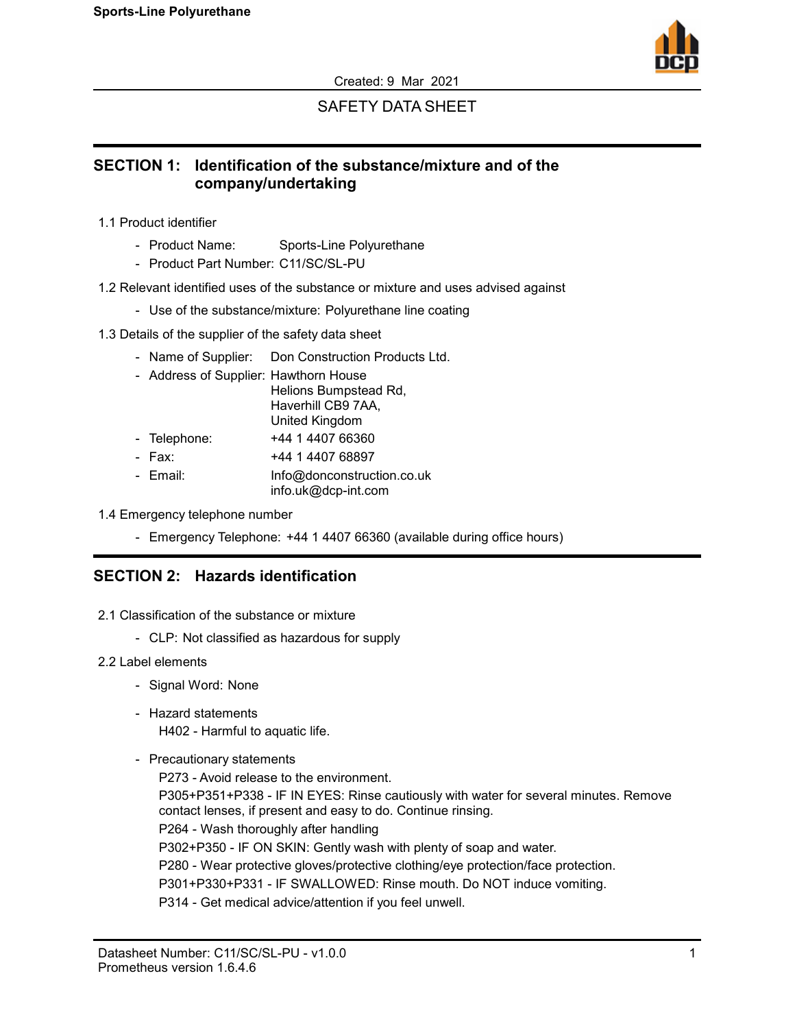

## SAFETY DATA SHEET

#### **SECTION 1: Identification of the substance/mixture and of the company/undertaking**

- 1.1 Product identifier
	- Product Name: Sports-Line Polyurethane
	- Product Part Number: C11/SC/SL-PU
- 1.2 Relevant identified uses of the substance or mixture and uses advised against
	- Use of the substance/mixture: Polyurethane line coating
- 1.3 Details of the supplier of the safety data sheet
	- Name of Supplier: Don Construction Products Ltd.
	- Address of Supplier: Hawthorn House
	- Helions Bumpstead Rd, Haverhill CB9 7AA, United Kingdom
	- Telephone: +44 1 4407 66360
	- Fax: +44 1 4407 68897
	- Email: Info@donconstruction.co.uk info.uk@dcp-int.com
- 1.4 Emergency telephone number
	- Emergency Telephone: +44 1 4407 66360 (available during office hours)

#### **SECTION 2: Hazards identification**

- 2.1 Classification of the substance or mixture
	- CLP: Not classified as hazardous for supply
- 2.2 Label elements
	- Signal Word: None
	- Hazard statements

H402 - Harmful to aquatic life.

- Precautionary statements

P273 - Avoid release to the environment. P305+P351+P338 - IF IN EYES: Rinse cautiously with water for several minutes. Remove contact lenses, if present and easy to do. Continue rinsing. P264 - Wash thoroughly after handling P302+P350 - IF ON SKIN: Gently wash with plenty of soap and water. P280 - Wear protective gloves/protective clothing/eye protection/face protection. P301+P330+P331 - IF SWALLOWED: Rinse mouth. Do NOT induce vomiting. P314 - Get medical advice/attention if you feel unwell.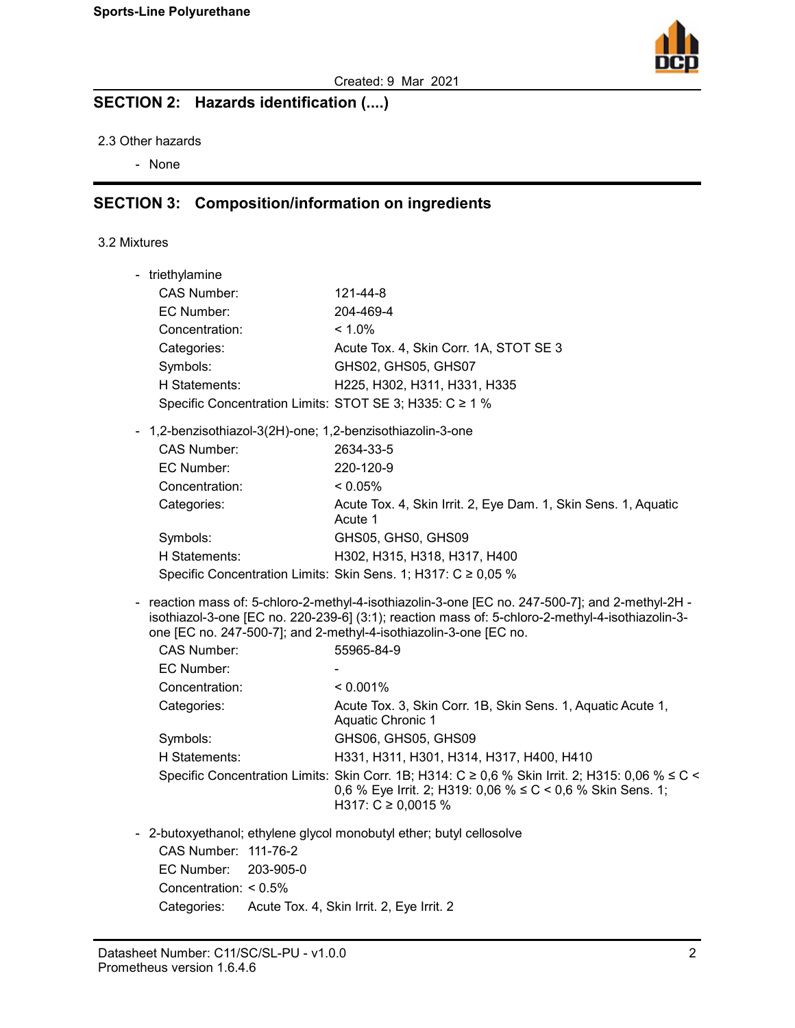

# **SECTION 2: Hazards identification (....)**

#### 2.3 Other hazards

- None

### **SECTION 3: Composition/information on ingredients**

#### 3.2 Mixtures

|  | - triethylamine                                                                                                                                                                                                                                                           |                                                                           |
|--|---------------------------------------------------------------------------------------------------------------------------------------------------------------------------------------------------------------------------------------------------------------------------|---------------------------------------------------------------------------|
|  | CAS Number:                                                                                                                                                                                                                                                               | 121-44-8                                                                  |
|  | EC Number:                                                                                                                                                                                                                                                                | 204-469-4                                                                 |
|  | Concentration:                                                                                                                                                                                                                                                            | $< 1.0\%$                                                                 |
|  | Categories:                                                                                                                                                                                                                                                               | Acute Tox. 4, Skin Corr. 1A, STOT SE 3                                    |
|  | Symbols:                                                                                                                                                                                                                                                                  | GHS02, GHS05, GHS07                                                       |
|  | H Statements:                                                                                                                                                                                                                                                             | H225, H302, H311, H331, H335                                              |
|  | Specific Concentration Limits: STOT SE 3; H335: C ≥ 1 %                                                                                                                                                                                                                   |                                                                           |
|  | - 1,2-benzisothiazol-3(2H)-one; 1,2-benzisothiazolin-3-one                                                                                                                                                                                                                |                                                                           |
|  | CAS Number:                                                                                                                                                                                                                                                               | 2634-33-5                                                                 |
|  | EC Number:                                                                                                                                                                                                                                                                | 220-120-9                                                                 |
|  | Concentration:                                                                                                                                                                                                                                                            | < 0.05%                                                                   |
|  | Categories:                                                                                                                                                                                                                                                               | Acute Tox. 4, Skin Irrit. 2, Eye Dam. 1, Skin Sens. 1, Aquatic<br>Acute 1 |
|  | Symbols:                                                                                                                                                                                                                                                                  | GHS05, GHS0, GHS09                                                        |
|  | H Statements:                                                                                                                                                                                                                                                             | H302, H315, H318, H317, H400                                              |
|  |                                                                                                                                                                                                                                                                           | Specific Concentration Limits: Skin Sens. 1; H317: C ≥ 0,05 %             |
|  | - reaction mass of: 5-chloro-2-methyl-4-isothiazolin-3-one [EC no. 247-500-7]; and 2-methyl-2H -<br>isothiazol-3-one [EC no. 220-239-6] (3:1); reaction mass of: 5-chloro-2-methyl-4-isothiazolin-3-<br>one [EC no. 247-500-7]; and 2-methyl-4-isothiazolin-3-one [EC no. |                                                                           |
|  | <b>CAS Number:</b>                                                                                                                                                                                                                                                        | 55965-84-9                                                                |
|  | EC Number:                                                                                                                                                                                                                                                                |                                                                           |
|  |                                                                                                                                                                                                                                                                           |                                                                           |

| EC Number:     | -                                                                                                                                                                                                      |
|----------------|--------------------------------------------------------------------------------------------------------------------------------------------------------------------------------------------------------|
| Concentration: | $< 0.001\%$                                                                                                                                                                                            |
| Categories:    | Acute Tox. 3, Skin Corr. 1B, Skin Sens. 1, Aquatic Acute 1,<br>Aquatic Chronic 1                                                                                                                       |
| Symbols:       | GHS06, GHS05, GHS09                                                                                                                                                                                    |
| H Statements:  | H331, H311, H301, H314, H317, H400, H410                                                                                                                                                               |
|                | Specific Concentration Limits: Skin Corr. 1B; H314: C $\geq 0.6$ % Skin Irrit. 2; H315: 0.06 % $\leq C$ <<br>0,6 % Eye Irrit. 2; H319: 0,06 % $\leq C$ < 0,6 % Skin Sens. 1;<br>H317: $C \ge 0,0015$ % |

- 2-butoxyethanol; ethylene glycol monobutyl ether; butyl cellosolve CAS Number: 111-76-2 EC Number: 203-905-0

Concentration: < 0.5%

Categories: Acute Tox. 4, Skin Irrit. 2, Eye Irrit. 2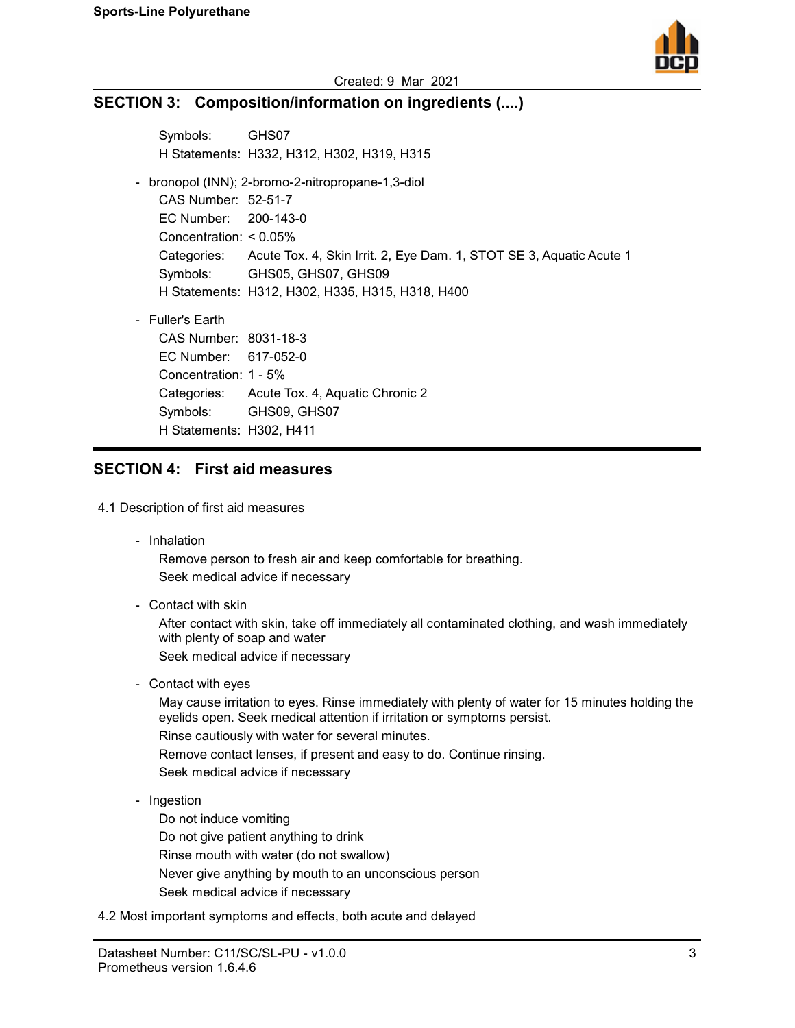

Created: 9 Mar 2021

#### **SECTION 3: Composition/information on ingredients (....)**

Symbols: GHS07 H Statements: H332, H312, H302, H319, H315

- bronopol (INN); 2-bromo-2-nitropropane-1,3-diol CAS Number: 52-51-7 EC Number: 200-143-0 Concentration: < 0.05% Categories: Acute Tox. 4, Skin Irrit. 2, Eye Dam. 1, STOT SE 3, Aquatic Acute 1 Symbols: GHS05, GHS07, GHS09 H Statements: H312, H302, H335, H315, H318, H400

- Fuller's Earth

CAS Number: 8031-18-3 EC Number: 617-052-0 Concentration: 1 - 5% Categories: Acute Tox. 4, Aquatic Chronic 2 Symbols: GHS09, GHS07 H Statements: H302, H411

#### **SECTION 4: First aid measures**

- 4.1 Description of first aid measures
	- Inhalation

Remove person to fresh air and keep comfortable for breathing. Seek medical advice if necessary

- Contact with skin

After contact with skin, take off immediately all contaminated clothing, and wash immediately with plenty of soap and water

Seek medical advice if necessary

- Contact with eyes

May cause irritation to eyes. Rinse immediately with plenty of water for 15 minutes holding the eyelids open. Seek medical attention if irritation or symptoms persist. Rinse cautiously with water for several minutes. Remove contact lenses, if present and easy to do. Continue rinsing. Seek medical advice if necessary

- Ingestion

Do not induce vomiting Do not give patient anything to drink Rinse mouth with water (do not swallow) Never give anything by mouth to an unconscious person Seek medical advice if necessary

4.2 Most important symptoms and effects, both acute and delayed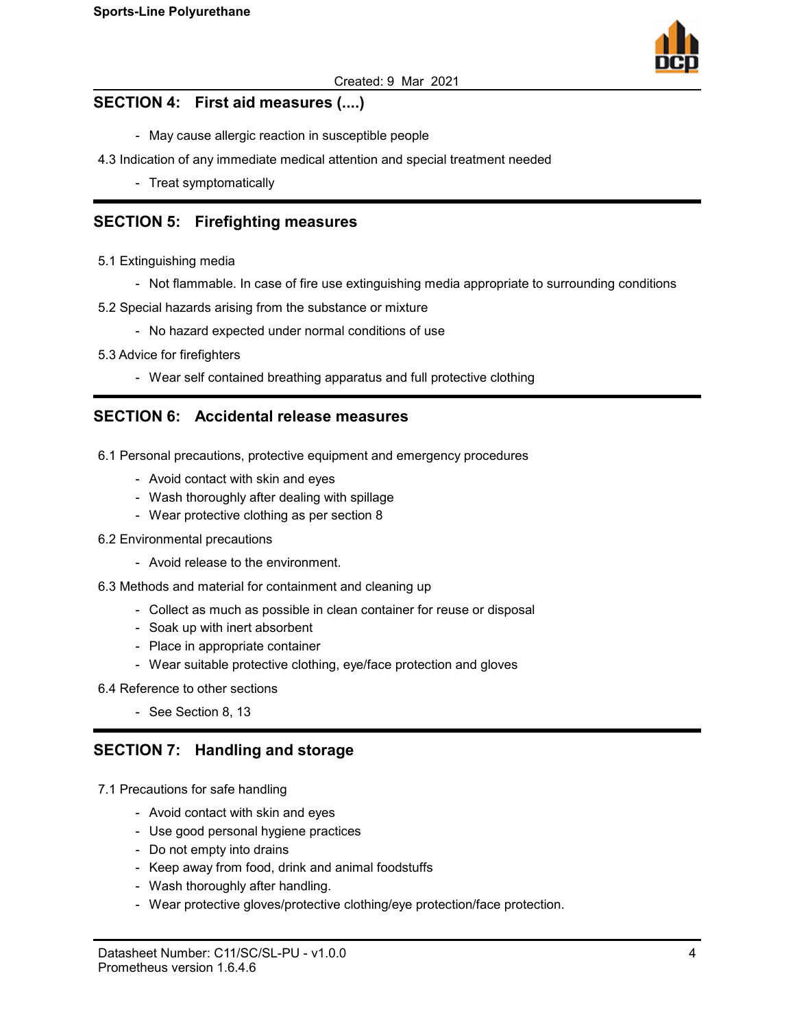

#### **SECTION 4: First aid measures (....)**

- May cause allergic reaction in susceptible people
- 4.3 Indication of any immediate medical attention and special treatment needed
	- Treat symptomatically

#### **SECTION 5: Firefighting measures**

- 5.1 Extinguishing media
	- Not flammable. In case of fire use extinguishing media appropriate to surrounding conditions
- 5.2 Special hazards arising from the substance or mixture
	- No hazard expected under normal conditions of use
- 5.3 Advice for firefighters
	- Wear self contained breathing apparatus and full protective clothing

#### **SECTION 6: Accidental release measures**

- 6.1 Personal precautions, protective equipment and emergency procedures
	- Avoid contact with skin and eyes
	- Wash thoroughly after dealing with spillage
	- Wear protective clothing as per section 8
- 6.2 Environmental precautions
	- Avoid release to the environment.
- 6.3 Methods and material for containment and cleaning up
	- Collect as much as possible in clean container for reuse or disposal
	- Soak up with inert absorbent
	- Place in appropriate container
	- Wear suitable protective clothing, eye/face protection and gloves
- 6.4 Reference to other sections
	- See Section 8, 13

#### **SECTION 7: Handling and storage**

- 7.1 Precautions for safe handling
	- Avoid contact with skin and eyes
	- Use good personal hygiene practices
	- Do not empty into drains
	- Keep away from food, drink and animal foodstuffs
	- Wash thoroughly after handling.
	- Wear protective gloves/protective clothing/eye protection/face protection.

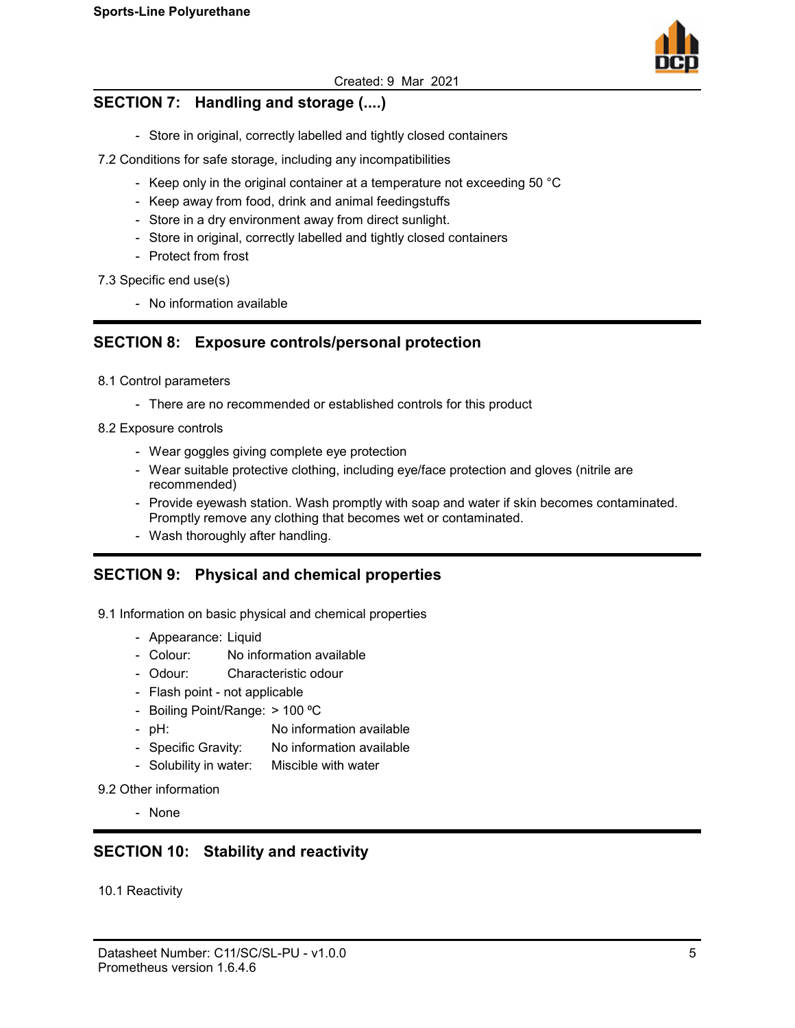

### **SECTION 7: Handling and storage (....)**

- Store in original, correctly labelled and tightly closed containers
- 7.2 Conditions for safe storage, including any incompatibilities
	- Keep only in the original container at a temperature not exceeding 50 °C
	- Keep away from food, drink and animal feedingstuffs
	- Store in a dry environment away from direct sunlight.
	- Store in original, correctly labelled and tightly closed containers
	- Protect from frost
- 7.3 Specific end use(s)
	- No information available

#### **SECTION 8: Exposure controls/personal protection**

- 8.1 Control parameters
	- There are no recommended or established controls for this product
- 8.2 Exposure controls
	- Wear goggles giving complete eye protection
	- Wear suitable protective clothing, including eye/face protection and gloves (nitrile are recommended)
	- Provide eyewash station. Wash promptly with soap and water if skin becomes contaminated. Promptly remove any clothing that becomes wet or contaminated.
	- Wash thoroughly after handling.

### **SECTION 9: Physical and chemical properties**

- 9.1 Information on basic physical and chemical properties
	- Appearance: Liquid
	- Colour: No information available
	- Odour: Characteristic odour
	- Flash point not applicable
	- Boiling Point/Range: > 100 °C
	- pH: No information available
	- Specific Gravity: No information available
	- Solubility in water: Miscible with water
- 9.2 Other information
	- None

#### **SECTION 10: Stability and reactivity**

10.1 Reactivity

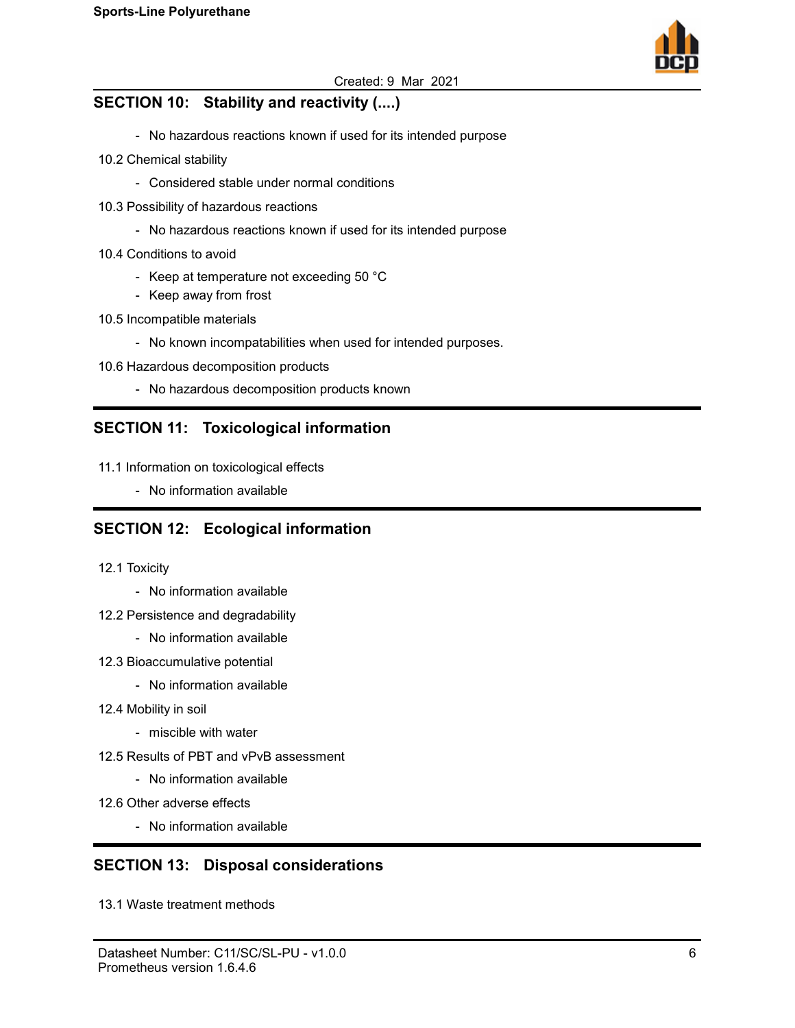

#### **SECTION 10: Stability and reactivity (....)**

- No hazardous reactions known if used for its intended purpose
- 10.2 Chemical stability
	- Considered stable under normal conditions
- 10.3 Possibility of hazardous reactions
	- No hazardous reactions known if used for its intended purpose
- 10.4 Conditions to avoid
	- Keep at temperature not exceeding 50 °C
	- Keep away from frost
- 10.5 Incompatible materials
	- No known incompatabilities when used for intended purposes.
- 10.6 Hazardous decomposition products
	- No hazardous decomposition products known

### **SECTION 11: Toxicological information**

- 11.1 Information on toxicological effects
	- No information available

### **SECTION 12: Ecological information**

- 12.1 Toxicity
	- No information available
- 12.2 Persistence and degradability
	- No information available
- 12.3 Bioaccumulative potential
	- No information available
- 12.4 Mobility in soil
	- miscible with water
- 12.5 Results of PBT and vPvB assessment
	- No information available
- 12.6 Other adverse effects
	- No information available

#### **SECTION 13: Disposal considerations**

13.1 Waste treatment methods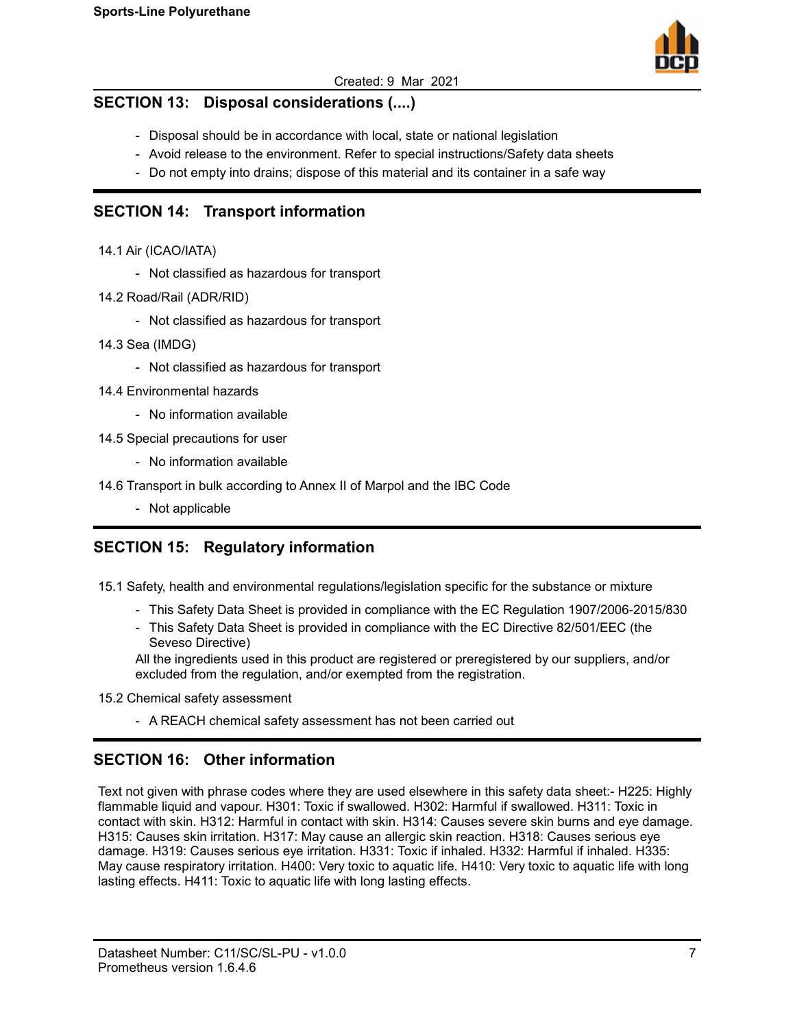

### **SECTION 13: Disposal considerations (....)**

- Disposal should be in accordance with local, state or national legislation
- Avoid release to the environment. Refer to special instructions/Safety data sheets
- Do not empty into drains; dispose of this material and its container in a safe way

#### **SECTION 14: Transport information**

- 14.1 Air (ICAO/IATA)
	- Not classified as hazardous for transport
- 14.2 Road/Rail (ADR/RID)
	- Not classified as hazardous for transport
- 14.3 Sea (IMDG)
	- Not classified as hazardous for transport
- 14.4 Environmental hazards
	- No information available
- 14.5 Special precautions for user
	- No information available
- 14.6 Transport in bulk according to Annex II of Marpol and the IBC Code
	- Not applicable

### **SECTION 15: Regulatory information**

15.1 Safety, health and environmental regulations/legislation specific for the substance or mixture

- This Safety Data Sheet is provided in compliance with the EC Regulation 1907/2006-2015/830
- This Safety Data Sheet is provided in compliance with the EC Directive 82/501/EEC (the Seveso Directive)

All the ingredients used in this product are registered or preregistered by our suppliers, and/or excluded from the regulation, and/or exempted from the registration.

- 15.2 Chemical safety assessment
	- A REACH chemical safety assessment has not been carried out

### **SECTION 16: Other information**

Text not given with phrase codes where they are used elsewhere in this safety data sheet:- H225: Highly flammable liquid and vapour. H301: Toxic if swallowed. H302: Harmful if swallowed. H311: Toxic in contact with skin. H312: Harmful in contact with skin. H314: Causes severe skin burns and eye damage. H315: Causes skin irritation. H317: May cause an allergic skin reaction. H318: Causes serious eye damage. H319: Causes serious eye irritation. H331: Toxic if inhaled. H332: Harmful if inhaled. H335: May cause respiratory irritation. H400: Very toxic to aquatic life. H410: Very toxic to aquatic life with long lasting effects. H411: Toxic to aquatic life with long lasting effects.